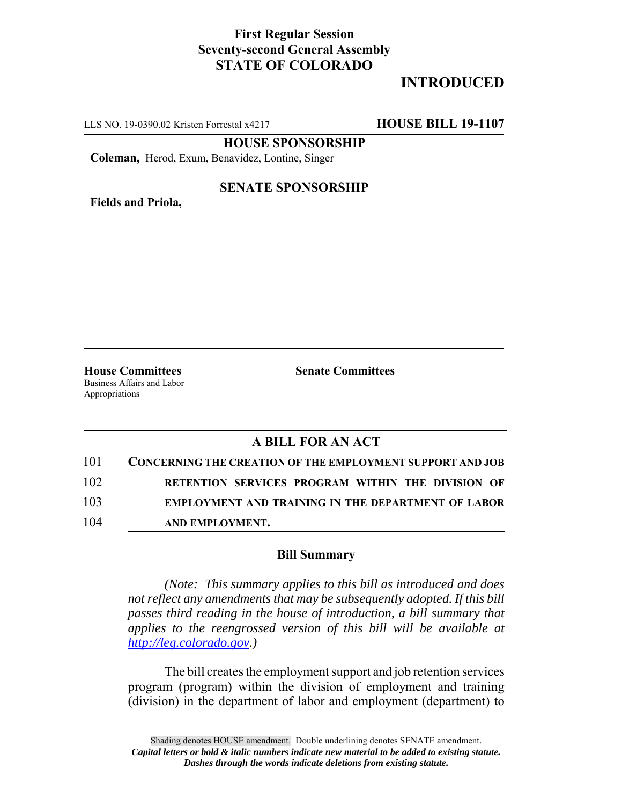## **First Regular Session Seventy-second General Assembly STATE OF COLORADO**

# **INTRODUCED**

LLS NO. 19-0390.02 Kristen Forrestal x4217 **HOUSE BILL 19-1107**

**HOUSE SPONSORSHIP**

**Coleman,** Herod, Exum, Benavidez, Lontine, Singer

**Fields and Priola,**

#### **SENATE SPONSORSHIP**

**House Committees Senate Committees** Business Affairs and Labor Appropriations

### **A BILL FOR AN ACT**

| 101 | <b>CONCERNING THE CREATION OF THE EMPLOYMENT SUPPORT AND JOB</b> |
|-----|------------------------------------------------------------------|
| 102 | RETENTION SERVICES PROGRAM WITHIN THE DIVISION OF                |
| 103 | <b>EMPLOYMENT AND TRAINING IN THE DEPARTMENT OF LABOR</b>        |
| 104 | AND EMPLOYMENT.                                                  |

#### **Bill Summary**

*(Note: This summary applies to this bill as introduced and does not reflect any amendments that may be subsequently adopted. If this bill passes third reading in the house of introduction, a bill summary that applies to the reengrossed version of this bill will be available at http://leg.colorado.gov.)*

The bill creates the employment support and job retention services program (program) within the division of employment and training (division) in the department of labor and employment (department) to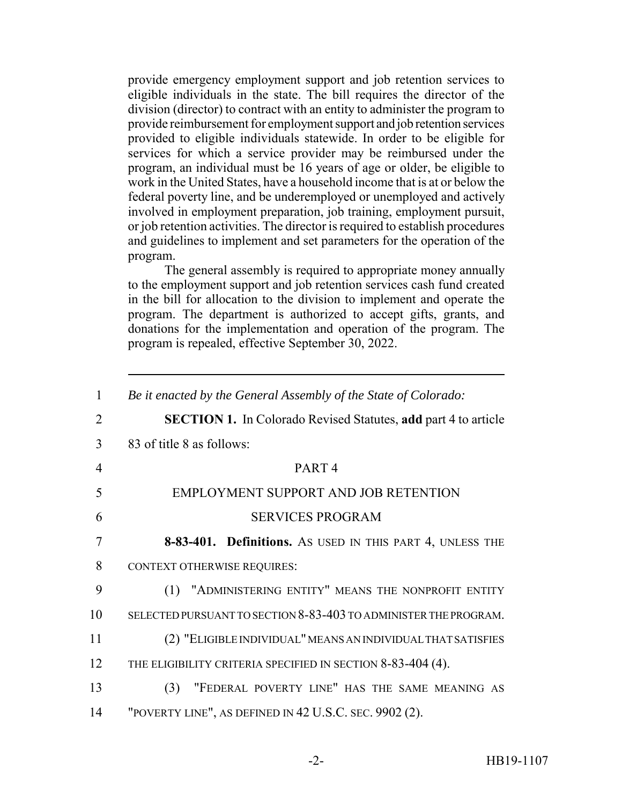provide emergency employment support and job retention services to eligible individuals in the state. The bill requires the director of the division (director) to contract with an entity to administer the program to provide reimbursement for employment support and job retention services provided to eligible individuals statewide. In order to be eligible for services for which a service provider may be reimbursed under the program, an individual must be 16 years of age or older, be eligible to work in the United States, have a household income that is at or below the federal poverty line, and be underemployed or unemployed and actively involved in employment preparation, job training, employment pursuit, or job retention activities. The director is required to establish procedures and guidelines to implement and set parameters for the operation of the program.

The general assembly is required to appropriate money annually to the employment support and job retention services cash fund created in the bill for allocation to the division to implement and operate the program. The department is authorized to accept gifts, grants, and donations for the implementation and operation of the program. The program is repealed, effective September 30, 2022.

| $\mathbf{1}$   | Be it enacted by the General Assembly of the State of Colorado:       |
|----------------|-----------------------------------------------------------------------|
| $\overline{2}$ | <b>SECTION 1.</b> In Colorado Revised Statutes, add part 4 to article |
| 3              | 83 of title 8 as follows:                                             |
| $\overline{4}$ | PART <sub>4</sub>                                                     |
| 5              | EMPLOYMENT SUPPORT AND JOB RETENTION                                  |
| 6              | <b>SERVICES PROGRAM</b>                                               |
| 7              | 8-83-401. Definitions. As USED IN THIS PART 4, UNLESS THE             |
| 8              | <b>CONTEXT OTHERWISE REQUIRES:</b>                                    |
| 9              | (1) "ADMINISTERING ENTITY" MEANS THE NONPROFIT ENTITY                 |
| 10             | SELECTED PURSUANT TO SECTION 8-83-403 TO ADMINISTER THE PROGRAM.      |
| 11             | (2) "ELIGIBLE INDIVIDUAL" MEANS AN INDIVIDUAL THAT SATISFIES          |
| 12             | THE ELIGIBILITY CRITERIA SPECIFIED IN SECTION 8-83-404 (4).           |
| 13             | "FEDERAL POVERTY LINE" HAS THE SAME MEANING AS<br>(3)                 |
| 14             | "POVERTY LINE", AS DEFINED IN 42 U.S.C. SEC. 9902 (2).                |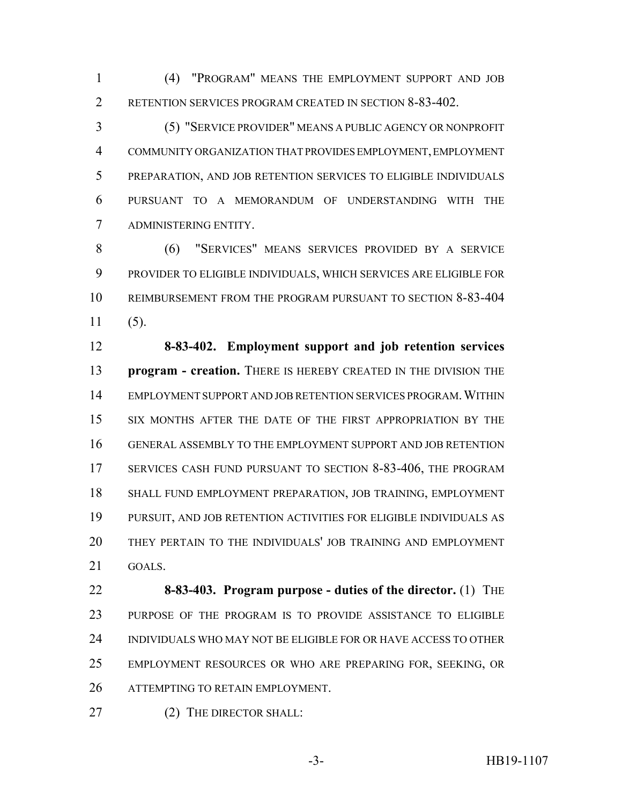(4) "PROGRAM" MEANS THE EMPLOYMENT SUPPORT AND JOB 2 RETENTION SERVICES PROGRAM CREATED IN SECTION 8-83-402.

 (5) "SERVICE PROVIDER" MEANS A PUBLIC AGENCY OR NONPROFIT COMMUNITY ORGANIZATION THAT PROVIDES EMPLOYMENT, EMPLOYMENT PREPARATION, AND JOB RETENTION SERVICES TO ELIGIBLE INDIVIDUALS PURSUANT TO A MEMORANDUM OF UNDERSTANDING WITH THE ADMINISTERING ENTITY.

 (6) "SERVICES" MEANS SERVICES PROVIDED BY A SERVICE PROVIDER TO ELIGIBLE INDIVIDUALS, WHICH SERVICES ARE ELIGIBLE FOR REIMBURSEMENT FROM THE PROGRAM PURSUANT TO SECTION 8-83-404 (5).

 **8-83-402. Employment support and job retention services program - creation.** THERE IS HEREBY CREATED IN THE DIVISION THE EMPLOYMENT SUPPORT AND JOB RETENTION SERVICES PROGRAM.WITHIN SIX MONTHS AFTER THE DATE OF THE FIRST APPROPRIATION BY THE GENERAL ASSEMBLY TO THE EMPLOYMENT SUPPORT AND JOB RETENTION 17 SERVICES CASH FUND PURSUANT TO SECTION 8-83-406, THE PROGRAM SHALL FUND EMPLOYMENT PREPARATION, JOB TRAINING, EMPLOYMENT PURSUIT, AND JOB RETENTION ACTIVITIES FOR ELIGIBLE INDIVIDUALS AS THEY PERTAIN TO THE INDIVIDUALS' JOB TRAINING AND EMPLOYMENT GOALS.

 **8-83-403. Program purpose - duties of the director.** (1) THE PURPOSE OF THE PROGRAM IS TO PROVIDE ASSISTANCE TO ELIGIBLE INDIVIDUALS WHO MAY NOT BE ELIGIBLE FOR OR HAVE ACCESS TO OTHER EMPLOYMENT RESOURCES OR WHO ARE PREPARING FOR, SEEKING, OR ATTEMPTING TO RETAIN EMPLOYMENT.

27 (2) THE DIRECTOR SHALL: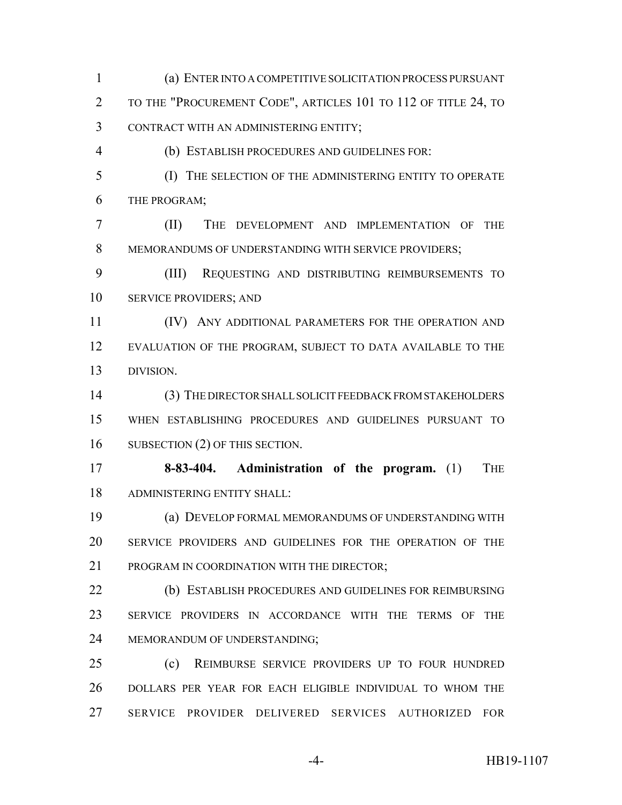TO THE "PROCUREMENT CODE", ARTICLES 101 TO 112 OF TITLE 24, TO CONTRACT WITH AN ADMINISTERING ENTITY; (b) ESTABLISH PROCEDURES AND GUIDELINES FOR: (I) THE SELECTION OF THE ADMINISTERING ENTITY TO OPERATE THE PROGRAM; (II) THE DEVELOPMENT AND IMPLEMENTATION OF THE MEMORANDUMS OF UNDERSTANDING WITH SERVICE PROVIDERS; (III) REQUESTING AND DISTRIBUTING REIMBURSEMENTS TO SERVICE PROVIDERS; AND (IV) ANY ADDITIONAL PARAMETERS FOR THE OPERATION AND EVALUATION OF THE PROGRAM, SUBJECT TO DATA AVAILABLE TO THE DIVISION. (3) THE DIRECTOR SHALL SOLICIT FEEDBACK FROM STAKEHOLDERS WHEN ESTABLISHING PROCEDURES AND GUIDELINES PURSUANT TO SUBSECTION (2) OF THIS SECTION. **8-83-404. Administration of the program.** (1) THE ADMINISTERING ENTITY SHALL: (a) DEVELOP FORMAL MEMORANDUMS OF UNDERSTANDING WITH SERVICE PROVIDERS AND GUIDELINES FOR THE OPERATION OF THE 21 PROGRAM IN COORDINATION WITH THE DIRECTOR: (b) ESTABLISH PROCEDURES AND GUIDELINES FOR REIMBURSING SERVICE PROVIDERS IN ACCORDANCE WITH THE TERMS OF THE MEMORANDUM OF UNDERSTANDING; (c) REIMBURSE SERVICE PROVIDERS UP TO FOUR HUNDRED DOLLARS PER YEAR FOR EACH ELIGIBLE INDIVIDUAL TO WHOM THE SERVICE PROVIDER DELIVERED SERVICES AUTHORIZED FOR -4- HB19-1107

(a) ENTER INTO A COMPETITIVE SOLICITATION PROCESS PURSUANT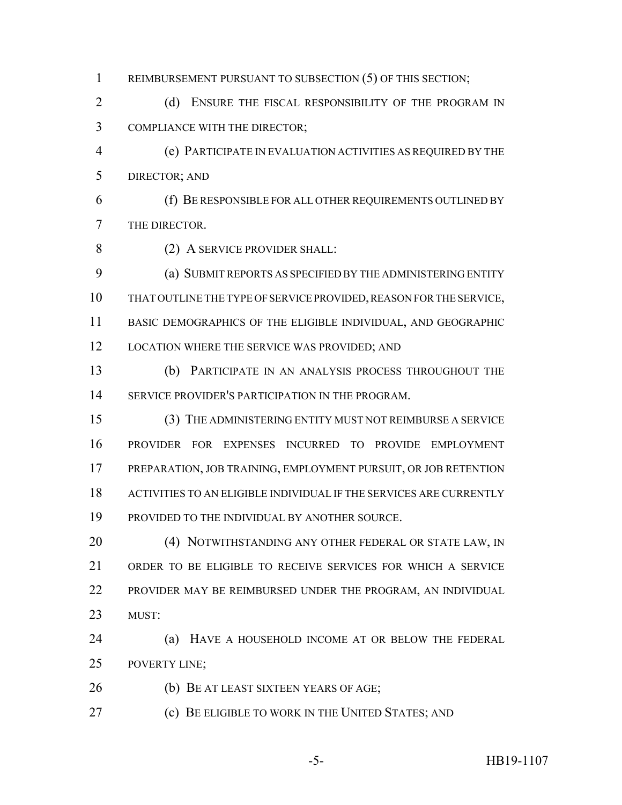- 1 REIMBURSEMENT PURSUANT TO SUBSECTION (5) OF THIS SECTION;
- 2 (d) ENSURE THE FISCAL RESPONSIBILITY OF THE PROGRAM IN COMPLIANCE WITH THE DIRECTOR;
- (e) PARTICIPATE IN EVALUATION ACTIVITIES AS REQUIRED BY THE DIRECTOR; AND
- (f) BE RESPONSIBLE FOR ALL OTHER REQUIREMENTS OUTLINED BY THE DIRECTOR.
- 8 (2) A SERVICE PROVIDER SHALL:
- (a) SUBMIT REPORTS AS SPECIFIED BY THE ADMINISTERING ENTITY THAT OUTLINE THE TYPE OF SERVICE PROVIDED, REASON FOR THE SERVICE, BASIC DEMOGRAPHICS OF THE ELIGIBLE INDIVIDUAL, AND GEOGRAPHIC 12 LOCATION WHERE THE SERVICE WAS PROVIDED; AND
- (b) PARTICIPATE IN AN ANALYSIS PROCESS THROUGHOUT THE SERVICE PROVIDER'S PARTICIPATION IN THE PROGRAM.
- (3) THE ADMINISTERING ENTITY MUST NOT REIMBURSE A SERVICE PROVIDER FOR EXPENSES INCURRED TO PROVIDE EMPLOYMENT PREPARATION, JOB TRAINING, EMPLOYMENT PURSUIT, OR JOB RETENTION ACTIVITIES TO AN ELIGIBLE INDIVIDUAL IF THE SERVICES ARE CURRENTLY PROVIDED TO THE INDIVIDUAL BY ANOTHER SOURCE.
- 20 (4) NOTWITHSTANDING ANY OTHER FEDERAL OR STATE LAW, IN ORDER TO BE ELIGIBLE TO RECEIVE SERVICES FOR WHICH A SERVICE PROVIDER MAY BE REIMBURSED UNDER THE PROGRAM, AN INDIVIDUAL MUST:
- (a) HAVE A HOUSEHOLD INCOME AT OR BELOW THE FEDERAL POVERTY LINE;
- (b) BE AT LEAST SIXTEEN YEARS OF AGE;
- (c) BE ELIGIBLE TO WORK IN THE UNITED STATES; AND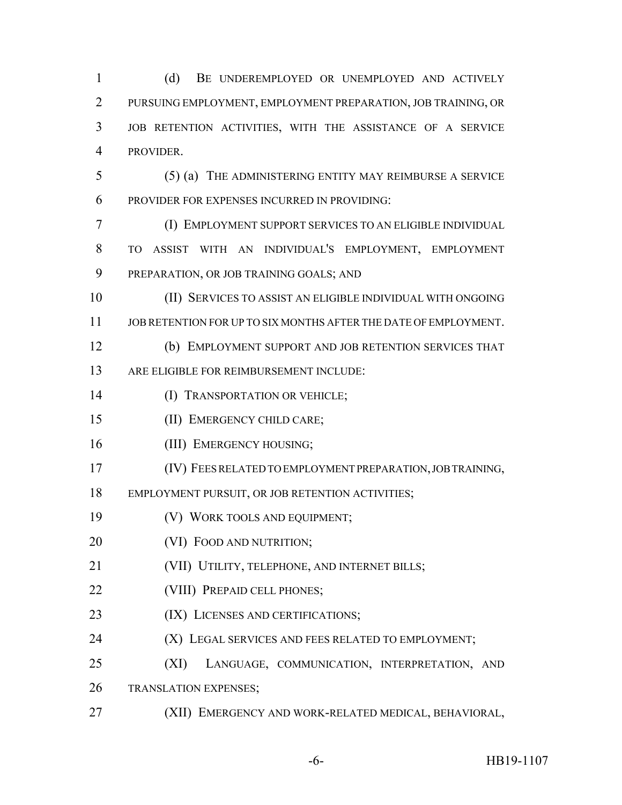(d) BE UNDEREMPLOYED OR UNEMPLOYED AND ACTIVELY PURSUING EMPLOYMENT, EMPLOYMENT PREPARATION, JOB TRAINING, OR JOB RETENTION ACTIVITIES, WITH THE ASSISTANCE OF A SERVICE PROVIDER. (5) (a) THE ADMINISTERING ENTITY MAY REIMBURSE A SERVICE PROVIDER FOR EXPENSES INCURRED IN PROVIDING: (I) EMPLOYMENT SUPPORT SERVICES TO AN ELIGIBLE INDIVIDUAL TO ASSIST WITH AN INDIVIDUAL'S EMPLOYMENT, EMPLOYMENT PREPARATION, OR JOB TRAINING GOALS; AND (II) SERVICES TO ASSIST AN ELIGIBLE INDIVIDUAL WITH ONGOING JOB RETENTION FOR UP TO SIX MONTHS AFTER THE DATE OF EMPLOYMENT. (b) EMPLOYMENT SUPPORT AND JOB RETENTION SERVICES THAT ARE ELIGIBLE FOR REIMBURSEMENT INCLUDE: (I) TRANSPORTATION OR VEHICLE; (II) EMERGENCY CHILD CARE; 16 (III) EMERGENCY HOUSING; (IV) FEES RELATED TO EMPLOYMENT PREPARATION, JOB TRAINING, EMPLOYMENT PURSUIT, OR JOB RETENTION ACTIVITIES; (V) WORK TOOLS AND EQUIPMENT; **(VI) FOOD AND NUTRITION;**  (VII) UTILITY, TELEPHONE, AND INTERNET BILLS; **(VIII) PREPAID CELL PHONES;** 23 (IX) LICENSES AND CERTIFICATIONS; **(X) LEGAL SERVICES AND FEES RELATED TO EMPLOYMENT;**  (XI) LANGUAGE, COMMUNICATION, INTERPRETATION, AND TRANSLATION EXPENSES; (XII) EMERGENCY AND WORK-RELATED MEDICAL, BEHAVIORAL,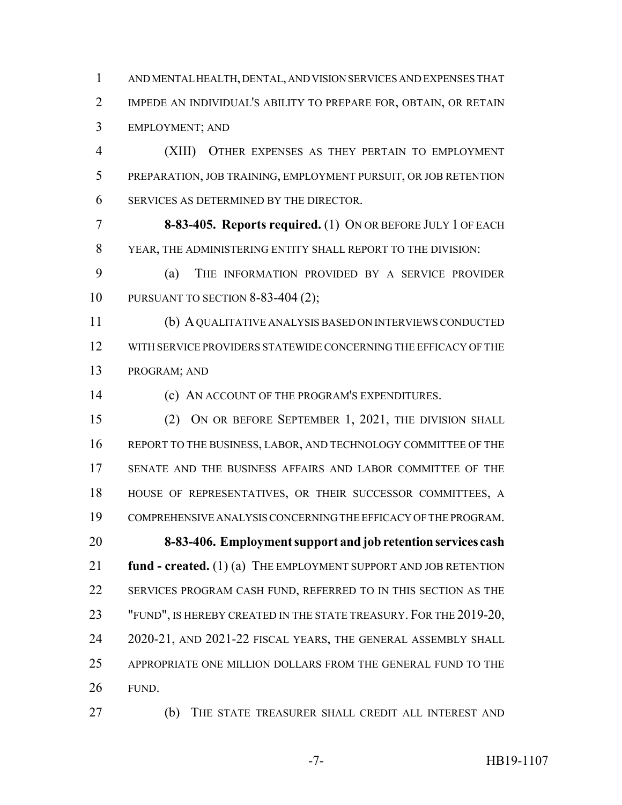AND MENTAL HEALTH, DENTAL, AND VISION SERVICES AND EXPENSES THAT IMPEDE AN INDIVIDUAL'S ABILITY TO PREPARE FOR, OBTAIN, OR RETAIN EMPLOYMENT; AND

 (XIII) OTHER EXPENSES AS THEY PERTAIN TO EMPLOYMENT PREPARATION, JOB TRAINING, EMPLOYMENT PURSUIT, OR JOB RETENTION SERVICES AS DETERMINED BY THE DIRECTOR.

 **8-83-405. Reports required.** (1) ON OR BEFORE JULY 1 OF EACH YEAR, THE ADMINISTERING ENTITY SHALL REPORT TO THE DIVISION:

 (a) THE INFORMATION PROVIDED BY A SERVICE PROVIDER PURSUANT TO SECTION 8-83-404 (2);

 (b) A QUALITATIVE ANALYSIS BASED ON INTERVIEWS CONDUCTED WITH SERVICE PROVIDERS STATEWIDE CONCERNING THE EFFICACY OF THE PROGRAM; AND

(c) AN ACCOUNT OF THE PROGRAM'S EXPENDITURES.

 (2) ON OR BEFORE SEPTEMBER 1, 2021, THE DIVISION SHALL REPORT TO THE BUSINESS, LABOR, AND TECHNOLOGY COMMITTEE OF THE SENATE AND THE BUSINESS AFFAIRS AND LABOR COMMITTEE OF THE HOUSE OF REPRESENTATIVES, OR THEIR SUCCESSOR COMMITTEES, A COMPREHENSIVE ANALYSIS CONCERNING THE EFFICACY OF THE PROGRAM. **8-83-406. Employment support and job retention services cash fund - created.** (1) (a) THE EMPLOYMENT SUPPORT AND JOB RETENTION SERVICES PROGRAM CASH FUND, REFERRED TO IN THIS SECTION AS THE 23 "FUND", IS HEREBY CREATED IN THE STATE TREASURY. FOR THE 2019-20, 2020-21, AND 2021-22 FISCAL YEARS, THE GENERAL ASSEMBLY SHALL APPROPRIATE ONE MILLION DOLLARS FROM THE GENERAL FUND TO THE FUND.

(b) THE STATE TREASURER SHALL CREDIT ALL INTEREST AND